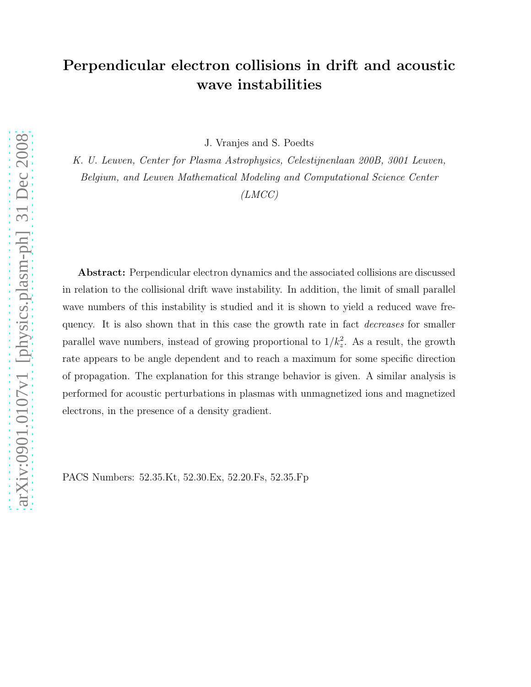# Perpendicular electron collisions in drift and acoustic wave instabilities

J. Vranjes and S. Poedts

K. U. Leuven, Center for Plasma Astrophysics, Celestijnenlaan 200B, 3001 Leuven, Belgium, and Leuven Mathematical Modeling and Computational Science Center

(LMCC)

Abstract: Perpendicular electron dynamics and the associated collisions are discussed in relation to the collisional drift wave instability. In addition, the limit of small parallel wave numbers of this instability is studied and it is shown to yield a reduced wave frequency. It is also shown that in this case the growth rate in fact *decreases* for smaller parallel wave numbers, instead of growing proportional to  $1/k_z^2$ . As a result, the growth rate appears to be angle dependent and to reach a maximum for some specific direction of propagation. The explanation for this strange behavior is given. A similar analysis is performed for acoustic perturbations in plasmas with unmagnetized ions and magnetized electrons, in the presence of a density gradient.

PACS Numbers: 52.35.Kt, 52.30.Ex, 52.20.Fs, 52.35.Fp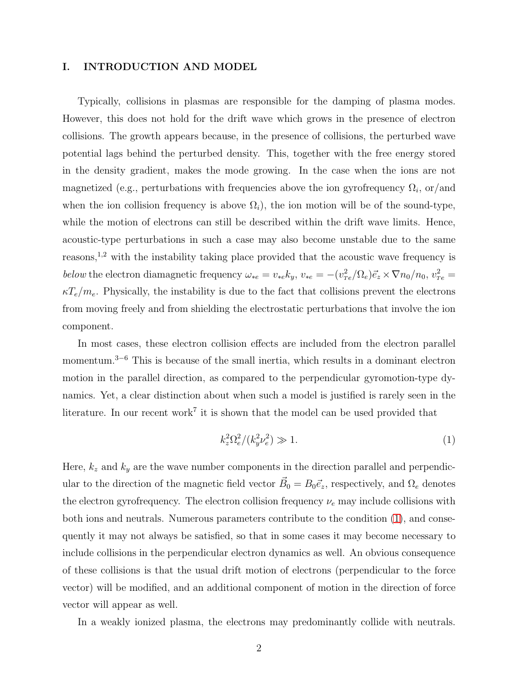# I. INTRODUCTION AND MODEL

Typically, collisions in plasmas are responsible for the damping of plasma modes. However, this does not hold for the drift wave which grows in the presence of electron collisions. The growth appears because, in the presence of collisions, the perturbed wave potential lags behind the perturbed density. This, together with the free energy stored in the density gradient, makes the mode growing. In the case when the ions are not magnetized (e.g., perturbations with frequencies above the ion gyrofrequency  $\Omega_i$ , or/and when the ion collision frequency is above  $\Omega_i$ ), the ion motion will be of the sound-type, while the motion of electrons can still be described within the drift wave limits. Hence, acoustic-type perturbations in such a case may also become unstable due to the same reasons,<sup>1,2</sup> with the instability taking place provided that the acoustic wave frequency is below the electron diamagnetic frequency  $\omega_{*e} = v_{*e} k_y$ ,  $v_{*e} = -(v_T^2)$  $T_e^2/\Omega_e \vec{e}_z \times \nabla n_0/n_0, v_{Te}^2 =$  $\kappa T_e/m_e$ . Physically, the instability is due to the fact that collisions prevent the electrons from moving freely and from shielding the electrostatic perturbations that involve the ion component.

In most cases, these electron collision effects are included from the electron parallel momentum.<sup>3</sup>−<sup>6</sup> This is because of the small inertia, which results in a dominant electron motion in the parallel direction, as compared to the perpendicular gyromotion-type dynamics. Yet, a clear distinction about when such a model is justified is rarely seen in the literature. In our recent work<sup>7</sup> it is shown that the model can be used provided that

<span id="page-1-0"></span>
$$
k_z^2 \Omega_e^2 / (k_y^2 \nu_e^2) \gg 1. \tag{1}
$$

Here,  $k_z$  and  $k_y$  are the wave number components in the direction parallel and perpendicular to the direction of the magnetic field vector  $\vec{B}_0 = B_0 \vec{e}_z$ , respectively, and  $\Omega_e$  denotes the electron gyrofrequency. The electron collision frequency  $\nu_e$  may include collisions with both ions and neutrals. Numerous parameters contribute to the condition [\(1\)](#page-1-0), and consequently it may not always be satisfied, so that in some cases it may become necessary to include collisions in the perpendicular electron dynamics as well. An obvious consequence of these collisions is that the usual drift motion of electrons (perpendicular to the force vector) will be modified, and an additional component of motion in the direction of force vector will appear as well.

In a weakly ionized plasma, the electrons may predominantly collide with neutrals.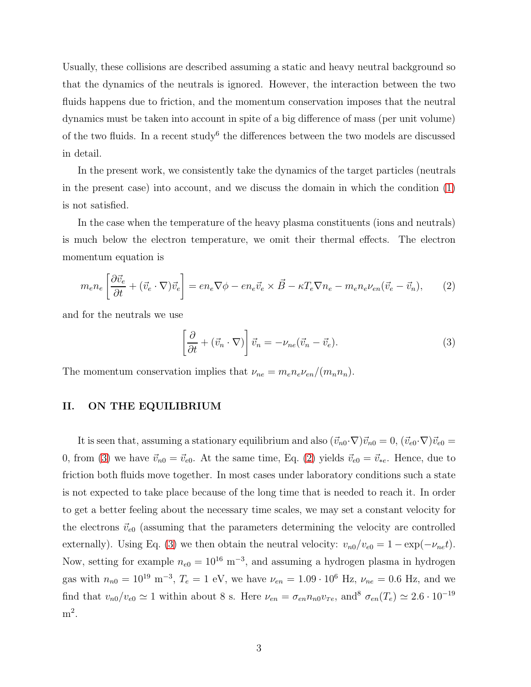Usually, these collisions are described assuming a static and heavy neutral background so that the dynamics of the neutrals is ignored. However, the interaction between the two fluids happens due to friction, and the momentum conservation imposes that the neutral dynamics must be taken into account in spite of a big difference of mass (per unit volume) of the two fluids. In a recent study<sup>6</sup> the differences between the two models are discussed in detail.

In the present work, we consistently take the dynamics of the target particles (neutrals in the present case) into account, and we discuss the domain in which the condition [\(1\)](#page-1-0) is not satisfied.

In the case when the temperature of the heavy plasma constituents (ions and neutrals) is much below the electron temperature, we omit their thermal effects. The electron momentum equation is

<span id="page-2-1"></span>
$$
m_e n_e \left[ \frac{\partial \vec{v}_e}{\partial t} + (\vec{v}_e \cdot \nabla) \vec{v}_e \right] = en_e \nabla \phi - en_e \vec{v}_e \times \vec{B} - \kappa T_e \nabla n_e - m_e n_e \nu_{en} (\vec{v}_e - \vec{v}_n), \tag{2}
$$

and for the neutrals we use

<span id="page-2-0"></span>
$$
\left[\frac{\partial}{\partial t} + (\vec{v}_n \cdot \nabla)\right] \vec{v}_n = -\nu_{ne} (\vec{v}_n - \vec{v}_e). \tag{3}
$$

The momentum conservation implies that  $\nu_{ne} = m_e n_e \nu_{en} / (m_n n_n)$ .

# II. ON THE EQUILIBRIUM

It is seen that, assuming a stationary equilibrium and also  $(\vec{v}_{n0}\cdot\nabla)\vec{v}_{n0} = 0$ ,  $(\vec{v}_{e0}\cdot\nabla)\vec{v}_{e0} =$ 0, from [\(3\)](#page-2-0) we have  $\vec{v}_{n0} = \vec{v}_{e0}$ . At the same time, Eq. [\(2\)](#page-2-1) yields  $\vec{v}_{e0} = \vec{v}_{*e}$ . Hence, due to friction both fluids move together. In most cases under laboratory conditions such a state is not expected to take place because of the long time that is needed to reach it. In order to get a better feeling about the necessary time scales, we may set a constant velocity for the electrons  $\vec{v}_{e0}$  (assuming that the parameters determining the velocity are controlled externally). Using Eq. [\(3\)](#page-2-0) we then obtain the neutral velocity:  $v_{n0}/v_{e0} = 1 - \exp(-\nu_{ne}t)$ . Now, setting for example  $n_{e0} = 10^{16} \text{ m}^{-3}$ , and assuming a hydrogen plasma in hydrogen gas with  $n_{n0} = 10^{19} \text{ m}^{-3}$ ,  $T_e = 1 \text{ eV}$ , we have  $\nu_{en} = 1.09 \cdot 10^6 \text{ Hz}$ ,  $\nu_{ne} = 0.6 \text{ Hz}$ , and we find that  $v_{n0}/v_{e0} \simeq 1$  within about 8 s. Here  $\nu_{en} = \sigma_{en} n_{n0} v_{Te}$ , and<sup>8</sup>  $\sigma_{en}(T_e) \simeq 2.6 \cdot 10^{-19}$  $m^2$ .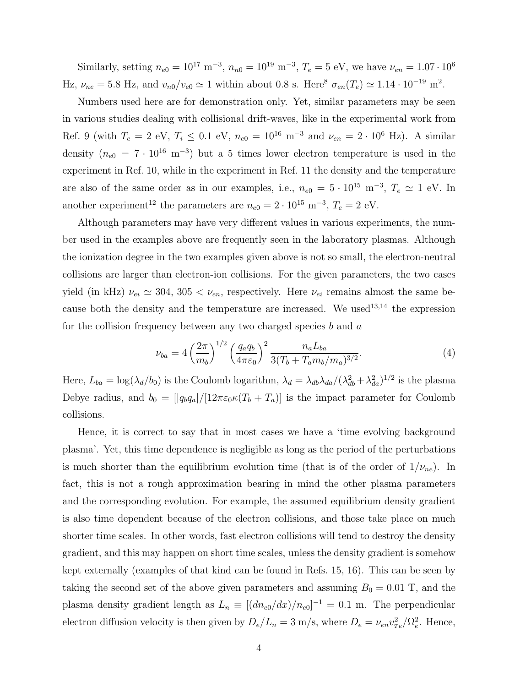Similarly, setting  $n_{e0} = 10^{17} \text{ m}^{-3}$ ,  $n_{n0} = 10^{19} \text{ m}^{-3}$ ,  $T_e = 5 \text{ eV}$ , we have  $\nu_{en} = 1.07 \cdot 10^6$ Hz,  $\nu_{ne} = 5.8$  Hz, and  $v_{n0}/v_{e0} \simeq 1$  within about 0.8 s. Here<sup>8</sup>  $\sigma_{en}(T_e) \simeq 1.14 \cdot 10^{-19}$  m<sup>2</sup>.

Numbers used here are for demonstration only. Yet, similar parameters may be seen in various studies dealing with collisional drift-waves, like in the experimental work from Ref. 9 (with  $T_e = 2$  eV,  $T_i \le 0.1$  eV,  $n_{e0} = 10^{16}$  m<sup>-3</sup> and  $\nu_{en} = 2 \cdot 10^6$  Hz). A similar density  $(n_{e0} = 7 \cdot 10^{16} \text{ m}^{-3})$  but a 5 times lower electron temperature is used in the experiment in Ref. 10, while in the experiment in Ref. 11 the density and the temperature are also of the same order as in our examples, i.e.,  $n_{e0} = 5 \cdot 10^{15} \text{ m}^{-3}$ ,  $T_e \simeq 1 \text{ eV}$ . In another experiment<sup>12</sup> the parameters are  $n_{e0} = 2 \cdot 10^{15} \text{ m}^{-3}$ ,  $T_e = 2 \text{ eV}$ .

Although parameters may have very different values in various experiments, the number used in the examples above are frequently seen in the laboratory plasmas. Although the ionization degree in the two examples given above is not so small, the electron-neutral collisions are larger than electron-ion collisions. For the given parameters, the two cases yield (in kHz)  $\nu_{ei} \simeq 304$ ,  $305 < \nu_{en}$ , respectively. Here  $\nu_{ei}$  remains almost the same because both the density and the temperature are increased. We used<sup>13,14</sup> the expression for the collision frequency between any two charged species  $b$  and  $a$ 

$$
\nu_{ba} = 4 \left(\frac{2\pi}{m_b}\right)^{1/2} \left(\frac{q_a q_b}{4\pi\varepsilon_0}\right)^2 \frac{n_a L_{ba}}{3(T_b + T_a m_b/m_a)^{3/2}}.
$$
\n(4)

Here,  $L_{ba} = \log(\lambda_d/b_0)$  is the Coulomb logarithm,  $\lambda_d = \lambda_{db} \lambda_{da}/(\lambda_{db}^2 + \lambda_{da}^2)^{1/2}$  is the plasma Debye radius, and  $b_0 = (|q_b q_a|/[12\pi \epsilon_0 \kappa (T_b + T_a)]$  is the impact parameter for Coulomb collisions.

Hence, it is correct to say that in most cases we have a 'time evolving background plasma'. Yet, this time dependence is negligible as long as the period of the perturbations is much shorter than the equilibrium evolution time (that is of the order of  $1/\nu_{ne}$ ). In fact, this is not a rough approximation bearing in mind the other plasma parameters and the corresponding evolution. For example, the assumed equilibrium density gradient is also time dependent because of the electron collisions, and those take place on much shorter time scales. In other words, fast electron collisions will tend to destroy the density gradient, and this may happen on short time scales, unless the density gradient is somehow kept externally (examples of that kind can be found in Refs. 15, 16). This can be seen by taking the second set of the above given parameters and assuming  $B_0 = 0.01$  T, and the plasma density gradient length as  $L_n \equiv [(dn_{e0}/dx)/n_{e0}]^{-1} = 0.1$  m. The perpendicular electron diffusion velocity is then given by  $D_e/L_n = 3$  m/s, where  $D_e = \nu_{en} v_T^2$  $\frac{2}{Te}/\Omega_e^2$  $_e^2$ . Hence,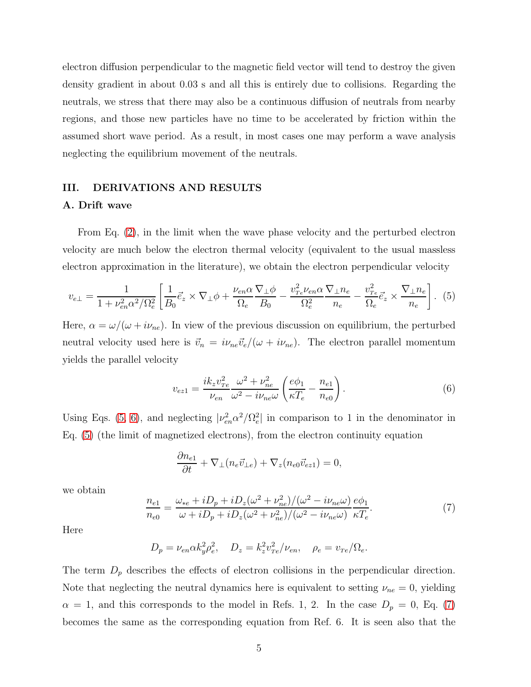electron diffusion perpendicular to the magnetic field vector will tend to destroy the given density gradient in about 0.03 s and all this is entirely due to collisions. Regarding the neutrals, we stress that there may also be a continuous diffusion of neutrals from nearby regions, and those new particles have no time to be accelerated by friction within the assumed short wave period. As a result, in most cases one may perform a wave analysis neglecting the equilibrium movement of the neutrals.

# III. DERIVATIONS AND RESULTS

#### A. Drift wave

From Eq. [\(2\)](#page-2-1), in the limit when the wave phase velocity and the perturbed electron velocity are much below the electron thermal velocity (equivalent to the usual massless electron approximation in the literature), we obtain the electron perpendicular velocity

<span id="page-4-0"></span>
$$
v_{e\perp} = \frac{1}{1 + \nu_{en}^2 \alpha^2 / \Omega_e^2} \left[ \frac{1}{B_0} \vec{e}_z \times \nabla_\perp \phi + \frac{\nu_{en} \alpha}{\Omega_e} \frac{\nabla_\perp \phi}{B_0} - \frac{v_{Te}^2 \nu_{en} \alpha}{\Omega_e^2} \frac{\nabla_\perp n_e}{n_e} - \frac{v_{Te}^2}{\Omega_e} \vec{e}_z \times \frac{\nabla_\perp n_e}{n_e} \right]. \tag{5}
$$

Here,  $\alpha = \omega/(\omega + i\nu_{ne})$ . In view of the previous discussion on equilibrium, the perturbed neutral velocity used here is  $\vec{v}_n = i \nu_{ne} \vec{v}_e/(\omega + i \nu_{ne})$ . The electron parallel momentum yields the parallel velocity

<span id="page-4-1"></span>
$$
v_{ez1} = \frac{ik_z v_{Te}^2}{\nu_{en}} \frac{\omega^2 + \nu_{ne}^2}{\omega^2 - i\nu_{ne}\omega} \left(\frac{e\phi_1}{\kappa T_e} - \frac{n_{e1}}{n_{e0}}\right). \tag{6}
$$

Using Eqs. [\(5,](#page-4-0) [6\)](#page-4-1), and neglecting  $|\nu_{en}^2 \alpha^2 / \Omega_e^2$  $\binom{2}{e}$  in comparison to 1 in the denominator in Eq. [\(5\)](#page-4-0) (the limit of magnetized electrons), from the electron continuity equation

$$
\frac{\partial n_{e1}}{\partial t} + \nabla_{\perp} (n_e \vec{v}_{\perp e}) + \nabla_z (n_{e0} \vec{v}_{ez1}) = 0,
$$

we obtain

<span id="page-4-2"></span>
$$
\frac{n_{e1}}{n_{e0}} = \frac{\omega_{*e} + iD_p + iD_z(\omega^2 + \nu_{ne}^2)/(\omega^2 - i\nu_{ne}\omega)}{\omega + iD_p + iD_z(\omega^2 + \nu_{ne}^2)/(\omega^2 - i\nu_{ne}\omega)} \frac{e\phi_1}{\kappa T_e}.
$$
\n(7)

Here

$$
D_p = \nu_{en} \alpha k_y^2 \rho_e^2
$$
,  $D_z = k_z^2 v_{Te}^2 / \nu_{en}$ ,  $\rho_e = v_{Te} / \Omega_e$ .

The term  $D_p$  describes the effects of electron collisions in the perpendicular direction. Note that neglecting the neutral dynamics here is equivalent to setting  $\nu_{ne} = 0$ , yielding  $\alpha = 1$ , and this corresponds to the model in Refs. 1, 2. In the case  $D_p = 0$ , Eq. [\(7\)](#page-4-2) becomes the same as the corresponding equation from Ref. 6. It is seen also that the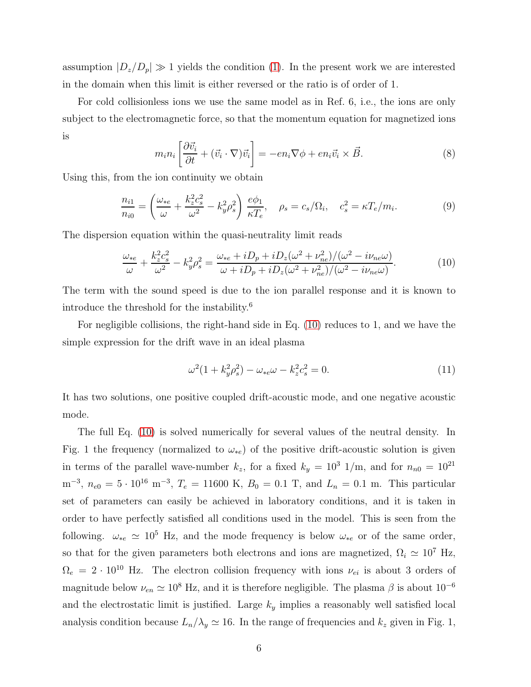assumption  $|D_z/D_p| \gg 1$  yields the condition [\(1\)](#page-1-0). In the present work we are interested in the domain when this limit is either reversed or the ratio is of order of 1.

For cold collisionless ions we use the same model as in Ref. 6, i.e., the ions are only subject to the electromagnetic force, so that the momentum equation for magnetized ions is

<span id="page-5-2"></span>
$$
m_i n_i \left[ \frac{\partial \vec{v}_i}{\partial t} + (\vec{v}_i \cdot \nabla) \vec{v}_i \right] = -e n_i \nabla \phi + e n_i \vec{v}_i \times \vec{B}.
$$
 (8)

Using this, from the ion continuity we obtain

<span id="page-5-3"></span>
$$
\frac{n_{i1}}{n_{i0}} = \left(\frac{\omega_{*e}}{\omega} + \frac{k_z^2 c_s^2}{\omega^2} - k_y^2 \rho_s^2\right) \frac{e\phi_1}{\kappa T_e}, \quad \rho_s = c_s/\Omega_i, \quad c_s^2 = \kappa T_e/m_i.
$$
\n(9)

The dispersion equation within the quasi-neutrality limit reads

<span id="page-5-0"></span>
$$
\frac{\omega_{*e}}{\omega} + \frac{k_z^2 c_s^2}{\omega^2} - k_y^2 \rho_s^2 = \frac{\omega_{*e} + iD_p + iD_z(\omega^2 + \nu_{ne}^2)/(\omega^2 - i\nu_{ne}\omega)}{\omega + iD_p + iD_z(\omega^2 + \nu_{ne}^2)/(\omega^2 - i\nu_{ne}\omega)}.
$$
(10)

The term with the sound speed is due to the ion parallel response and it is known to introduce the threshold for the instability.<sup>6</sup>

For negligible collisions, the right-hand side in Eq. [\(10\)](#page-5-0) reduces to 1, and we have the simple expression for the drift wave in an ideal plasma

<span id="page-5-1"></span>
$$
\omega^2 (1 + k_y^2 \rho_s^2) - \omega_{*e} \omega - k_z^2 c_s^2 = 0.
$$
\n(11)

It has two solutions, one positive coupled drift-acoustic mode, and one negative acoustic mode.

The full Eq. [\(10\)](#page-5-0) is solved numerically for several values of the neutral density. In Fig. 1 the frequency (normalized to  $\omega_{*e}$ ) of the positive drift-acoustic solution is given in terms of the parallel wave-number  $k_z$ , for a fixed  $k_y = 10^3$  1/m, and for  $n_{n0} = 10^{21}$  $m^{-3}$ ,  $n_{e0} = 5 \cdot 10^{16} \text{ m}^{-3}$ ,  $T_e = 11600 \text{ K}$ ,  $B_0 = 0.1 \text{ T}$ , and  $L_n = 0.1 \text{ m}$ . This particular set of parameters can easily be achieved in laboratory conditions, and it is taken in order to have perfectly satisfied all conditions used in the model. This is seen from the following.  $\omega_{*e} \simeq 10^5$  Hz, and the mode frequency is below  $\omega_{*e}$  or of the same order, so that for the given parameters both electrons and ions are magnetized,  $\Omega_i \simeq 10^7$  Hz,  $\Omega_e = 2 \cdot 10^{10}$  Hz. The electron collision frequency with ions  $\nu_{ei}$  is about 3 orders of magnitude below  $\nu_{en} \simeq 10^8$  Hz, and it is therefore negligible. The plasma  $\beta$  is about  $10^{-6}$ and the electrostatic limit is justified. Large  $k_y$  implies a reasonably well satisfied local analysis condition because  $L_n/\lambda_y \simeq 16$ . In the range of frequencies and  $k_z$  given in Fig. 1,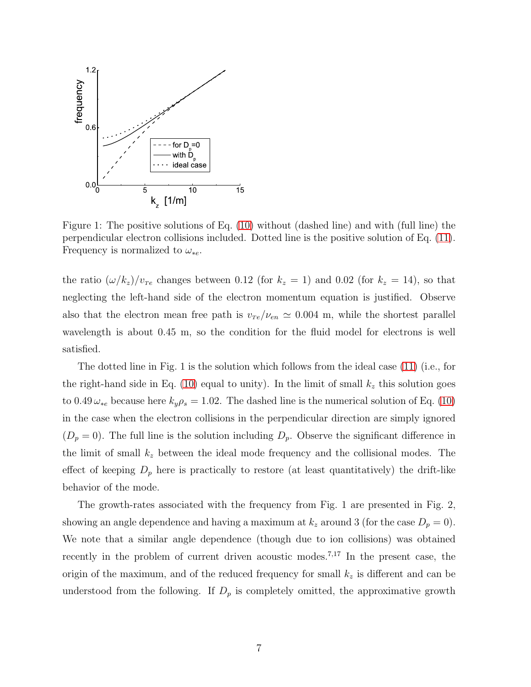

Figure 1: The positive solutions of Eq. [\(10\)](#page-5-0) without (dashed line) and with (full line) the perpendicular electron collisions included. Dotted line is the positive solution of Eq. [\(11\)](#page-5-1). Frequency is normalized to  $\omega_{*e}$ .

the ratio  $(\omega/k_z)/v_{Te}$  changes between 0.12 (for  $k_z = 1$ ) and 0.02 (for  $k_z = 14$ ), so that neglecting the left-hand side of the electron momentum equation is justified. Observe also that the electron mean free path is  $v_{Te}/v_{en} \simeq 0.004$  m, while the shortest parallel wavelength is about 0.45 m, so the condition for the fluid model for electrons is well satisfied.

The dotted line in Fig. 1 is the solution which follows from the ideal case [\(11\)](#page-5-1) (i.e., for the right-hand side in Eq. [\(10\)](#page-5-0) equal to unity). In the limit of small  $k_z$  this solution goes to 0.49  $\omega_{*e}$  because here  $k_y \rho_s = 1.02$ . The dashed line is the numerical solution of Eq. [\(10\)](#page-5-0) in the case when the electron collisions in the perpendicular direction are simply ignored  $(D_p = 0)$ . The full line is the solution including  $D_p$ . Observe the significant difference in the limit of small  $k_z$  between the ideal mode frequency and the collisional modes. The effect of keeping  $D_p$  here is practically to restore (at least quantitatively) the drift-like behavior of the mode.

The growth-rates associated with the frequency from Fig. 1 are presented in Fig. 2, showing an angle dependence and having a maximum at  $k_z$  around 3 (for the case  $D_p = 0$ ). We note that a similar angle dependence (though due to ion collisions) was obtained recently in the problem of current driven acoustic modes.<sup>7</sup>,<sup>17</sup> In the present case, the origin of the maximum, and of the reduced frequency for small  $k_z$  is different and can be understood from the following. If  $D_p$  is completely omitted, the approximative growth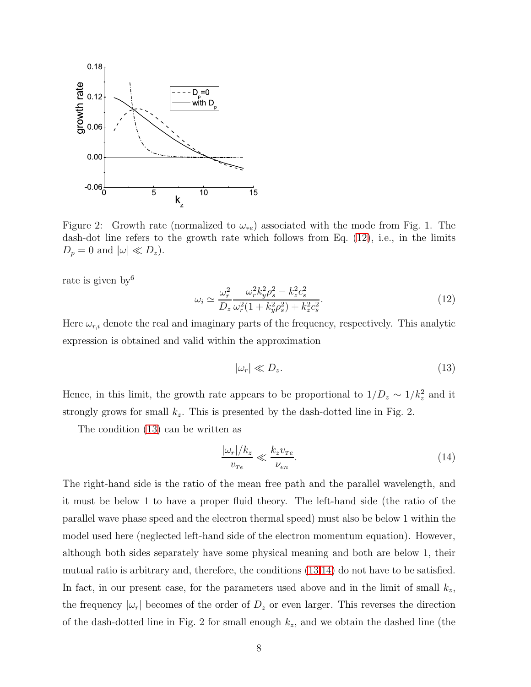

Figure 2: Growth rate (normalized to  $\omega_{*e}$ ) associated with the mode from Fig. 1. The dash-dot line refers to the growth rate which follows from Eq. [\(12\)](#page-7-0), i.e., in the limits  $D_p = 0$  and  $|\omega| \ll D_z$ ).

rate is given by  $6\frac{1}{2}$ 

<span id="page-7-0"></span>
$$
\omega_i \simeq \frac{\omega_r^2}{D_z} \frac{\omega_r^2 k_y^2 \rho_s^2 - k_z^2 c_s^2}{\omega_r^2 (1 + k_y^2 \rho_s^2) + k_z^2 c_s^2}.
$$
\n(12)

Here  $\omega_{r,i}$  denote the real and imaginary parts of the frequency, respectively. This analytic expression is obtained and valid within the approximation

<span id="page-7-1"></span>
$$
|\omega_r| \ll D_z. \tag{13}
$$

Hence, in this limit, the growth rate appears to be proportional to  $1/D_z \sim 1/k_z^2$  and it strongly grows for small  $k_z$ . This is presented by the dash-dotted line in Fig. 2.

The condition [\(13\)](#page-7-1) can be written as

<span id="page-7-2"></span>
$$
\frac{|\omega_r|/k_z}{v_{Te}} \ll \frac{k_z v_{Te}}{\nu_{en}}.\tag{14}
$$

The right-hand side is the ratio of the mean free path and the parallel wavelength, and it must be below 1 to have a proper fluid theory. The left-hand side (the ratio of the parallel wave phase speed and the electron thermal speed) must also be below 1 within the model used here (neglected left-hand side of the electron momentum equation). However, although both sides separately have some physical meaning and both are below 1, their mutual ratio is arbitrary and, therefore, the conditions [\(13,](#page-7-1)[14\)](#page-7-2) do not have to be satisfied. In fact, in our present case, for the parameters used above and in the limit of small  $k_z$ , the frequency  $|\omega_r|$  becomes of the order of  $D_z$  or even larger. This reverses the direction of the dash-dotted line in Fig. 2 for small enough  $k_z$ , and we obtain the dashed line (the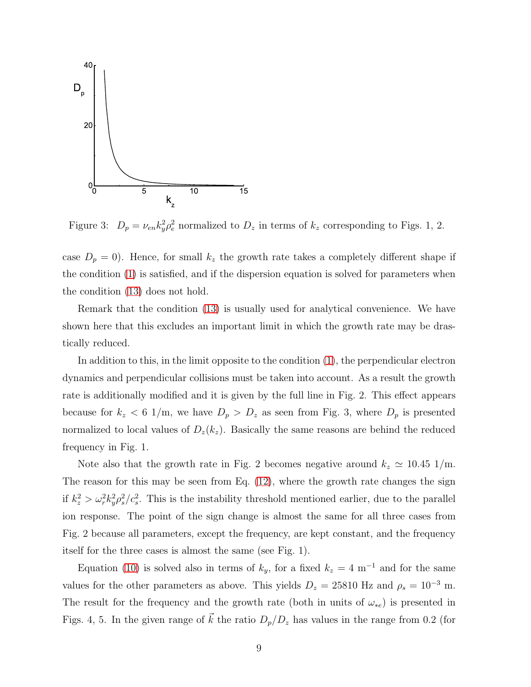

Figure 3:  $D_p = \nu_{en} k_y^2 \rho_e^2$  normalized to  $D_z$  in terms of  $k_z$  corresponding to Figs. 1, 2.

case  $D_p = 0$ . Hence, for small  $k_z$  the growth rate takes a completely different shape if the condition [\(1\)](#page-1-0) is satisfied, and if the dispersion equation is solved for parameters when the condition [\(13\)](#page-7-1) does not hold.

Remark that the condition [\(13\)](#page-7-1) is usually used for analytical convenience. We have shown here that this excludes an important limit in which the growth rate may be drastically reduced.

In addition to this, in the limit opposite to the condition [\(1\)](#page-1-0), the perpendicular electron dynamics and perpendicular collisions must be taken into account. As a result the growth rate is additionally modified and it is given by the full line in Fig. 2. This effect appears because for  $k_z < 6$  1/m, we have  $D_p > D_z$  as seen from Fig. 3, where  $D_p$  is presented normalized to local values of  $D_z(k_z)$ . Basically the same reasons are behind the reduced frequency in Fig. 1.

Note also that the growth rate in Fig. 2 becomes negative around  $k_z \simeq 10.45$  1/m. The reason for this may be seen from Eq. [\(12\)](#page-7-0), where the growth rate changes the sign if  $k_z^2 > \omega_r^2 k_y^2 \rho_s^2$  $s^2/c_s^2$ . This is the instability threshold mentioned earlier, due to the parallel ion response. The point of the sign change is almost the same for all three cases from Fig. 2 because all parameters, except the frequency, are kept constant, and the frequency itself for the three cases is almost the same (see Fig. 1).

Equation [\(10\)](#page-5-0) is solved also in terms of  $k_y$ , for a fixed  $k_z = 4 \text{ m}^{-1}$  and for the same values for the other parameters as above. This yields  $D_z = 25810$  Hz and  $\rho_s = 10^{-3}$  m. The result for the frequency and the growth rate (both in units of  $\omega_{*e}$ ) is presented in Figs. 4, 5. In the given range of  $\vec{k}$  the ratio  $D_p/D_z$  has values in the range from 0.2 (for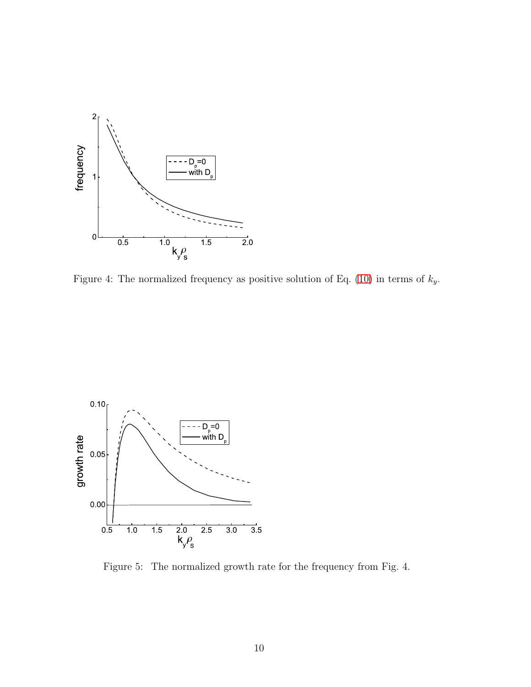

Figure 4: The normalized frequency as positive solution of Eq. [\(10\)](#page-5-0) in terms of  $k_y$ .



Figure 5: The normalized growth rate for the frequency from Fig. 4.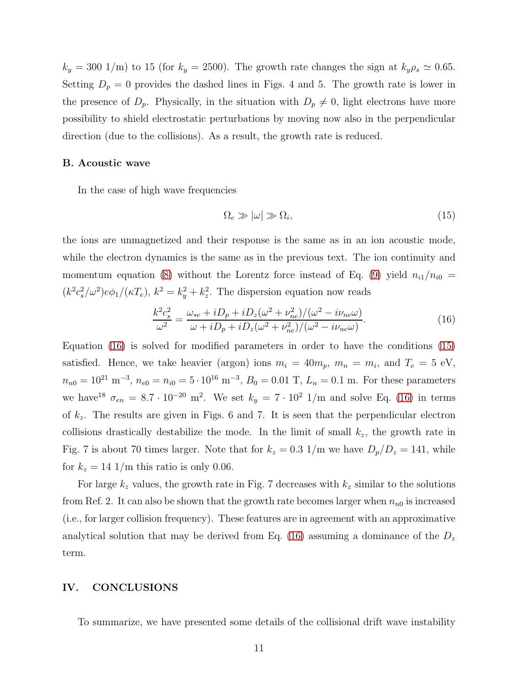$k_y = 300 \text{ 1/m}$  to 15 (for  $k_y = 2500$ ). The growth rate changes the sign at  $k_y \rho_s \simeq 0.65$ . Setting  $D_p = 0$  provides the dashed lines in Figs. 4 and 5. The growth rate is lower in the presence of  $D_p$ . Physically, in the situation with  $D_p \neq 0$ , light electrons have more possibility to shield electrostatic perturbations by moving now also in the perpendicular direction (due to the collisions). As a result, the growth rate is reduced.

#### B. Acoustic wave

In the case of high wave frequencies

<span id="page-10-1"></span>
$$
\Omega_e \gg |\omega| \gg \Omega_i,\tag{15}
$$

the ions are unmagnetized and their response is the same as in an ion acoustic mode, while the electron dynamics is the same as in the previous text. The ion continuity and momentum equation [\(8\)](#page-5-2) without the Lorentz force instead of Eq. [\(9\)](#page-5-3) yield  $n_{i1}/n_{i0}$  $(k^2 c_s^2/\omega^2) e\phi_1/(\kappa T_e), k^2 = k_y^2 + k_z^2$  $\frac{2}{z}$ . The dispersion equation now reads

<span id="page-10-0"></span>
$$
\frac{k^2 c_s^2}{\omega^2} = \frac{\omega_{*e} + iD_p + iD_z(\omega^2 + \nu_{ne}^2)/(\omega^2 - i\nu_{ne}\omega)}{\omega + iD_p + iD_z(\omega^2 + \nu_{ne}^2)/(\omega^2 - i\nu_{ne}\omega)}.
$$
(16)

Equation [\(16\)](#page-10-0) is solved for modified parameters in order to have the conditions [\(15\)](#page-10-1) satisfied. Hence, we take heavier (argon) ions  $m_i = 40m_p$ ,  $m_n = m_i$ , and  $T_e = 5$  eV,  $n_{n0} = 10^{21} \text{ m}^{-3}$ ,  $n_{e0} = n_{i0} = 5 \cdot 10^{16} \text{ m}^{-3}$ ,  $B_0 = 0.01 \text{ T}$ ,  $L_n = 0.1 \text{ m}$ . For these parameters we have<sup>18</sup>  $\sigma_{en} = 8.7 \cdot 10^{-20}$  m<sup>2</sup>. We set  $k_y = 7 \cdot 10^2$  1/m and solve Eq. [\(16\)](#page-10-0) in terms of  $k_z$ . The results are given in Figs. 6 and 7. It is seen that the perpendicular electron collisions drastically destabilize the mode. In the limit of small  $k_z$ , the growth rate in Fig. 7 is about 70 times larger. Note that for  $k_z = 0.3$  1/m we have  $D_p/D_z = 141$ , while for  $k_z = 14$  1/m this ratio is only 0.06.

For large  $k_z$  values, the growth rate in Fig. 7 decreases with  $k_z$  similar to the solutions from Ref. 2. It can also be shown that the growth rate becomes larger when  $n_{n0}$  is increased (i.e., for larger collision frequency). These features are in agreement with an approximative analytical solution that may be derived from Eq. [\(16\)](#page-10-0) assuming a dominance of the  $D_z$ term.

# IV. CONCLUSIONS

To summarize, we have presented some details of the collisional drift wave instability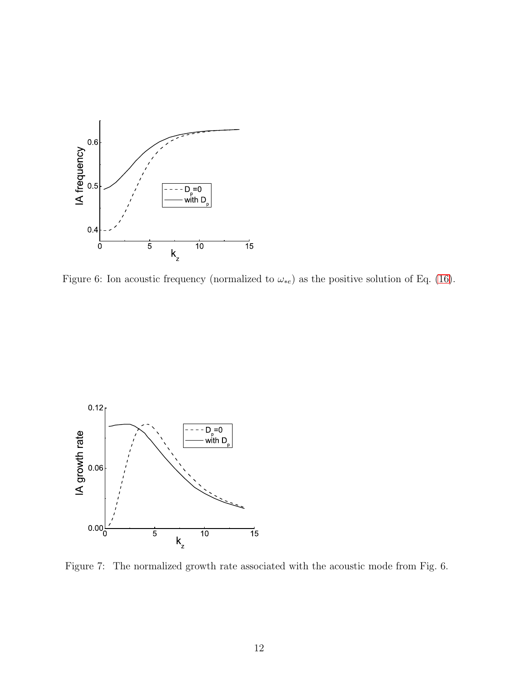

Figure 6: Ion acoustic frequency (normalized to  $\omega_{*e}$ ) as the positive solution of Eq. [\(16\)](#page-10-0).



Figure 7: The normalized growth rate associated with the acoustic mode from Fig. 6.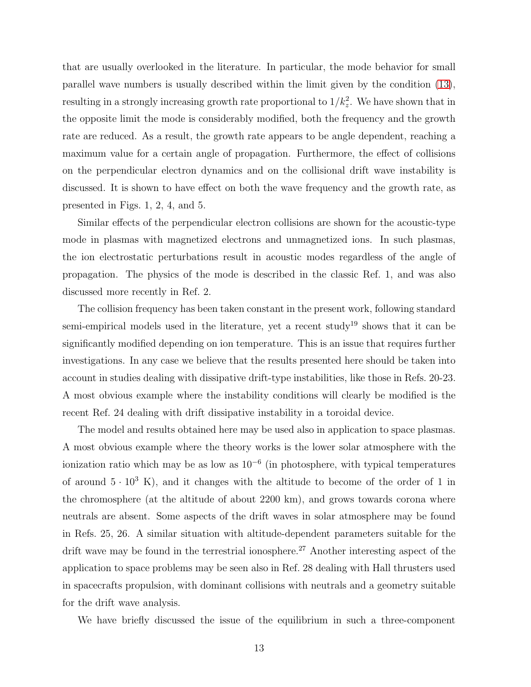that are usually overlooked in the literature. In particular, the mode behavior for small parallel wave numbers is usually described within the limit given by the condition [\(13\)](#page-7-1), resulting in a strongly increasing growth rate proportional to  $1/k_z^2$ . We have shown that in the opposite limit the mode is considerably modified, both the frequency and the growth rate are reduced. As a result, the growth rate appears to be angle dependent, reaching a maximum value for a certain angle of propagation. Furthermore, the effect of collisions on the perpendicular electron dynamics and on the collisional drift wave instability is discussed. It is shown to have effect on both the wave frequency and the growth rate, as presented in Figs. 1, 2, 4, and 5.

Similar effects of the perpendicular electron collisions are shown for the acoustic-type mode in plasmas with magnetized electrons and unmagnetized ions. In such plasmas, the ion electrostatic perturbations result in acoustic modes regardless of the angle of propagation. The physics of the mode is described in the classic Ref. 1, and was also discussed more recently in Ref. 2.

The collision frequency has been taken constant in the present work, following standard semi-empirical models used in the literature, yet a recent study<sup>19</sup> shows that it can be significantly modified depending on ion temperature. This is an issue that requires further investigations. In any case we believe that the results presented here should be taken into account in studies dealing with dissipative drift-type instabilities, like those in Refs. 20-23. A most obvious example where the instability conditions will clearly be modified is the recent Ref. 24 dealing with drift dissipative instability in a toroidal device.

The model and results obtained here may be used also in application to space plasmas. A most obvious example where the theory works is the lower solar atmosphere with the ionization ratio which may be as low as  $10^{-6}$  (in photosphere, with typical temperatures of around  $5 \cdot 10^3$  K), and it changes with the altitude to become of the order of 1 in the chromosphere (at the altitude of about 2200 km), and grows towards corona where neutrals are absent. Some aspects of the drift waves in solar atmosphere may be found in Refs. 25, 26. A similar situation with altitude-dependent parameters suitable for the drift wave may be found in the terrestrial ionosphere.<sup>27</sup> Another interesting aspect of the application to space problems may be seen also in Ref. 28 dealing with Hall thrusters used in spacecrafts propulsion, with dominant collisions with neutrals and a geometry suitable for the drift wave analysis.

We have briefly discussed the issue of the equilibrium in such a three-component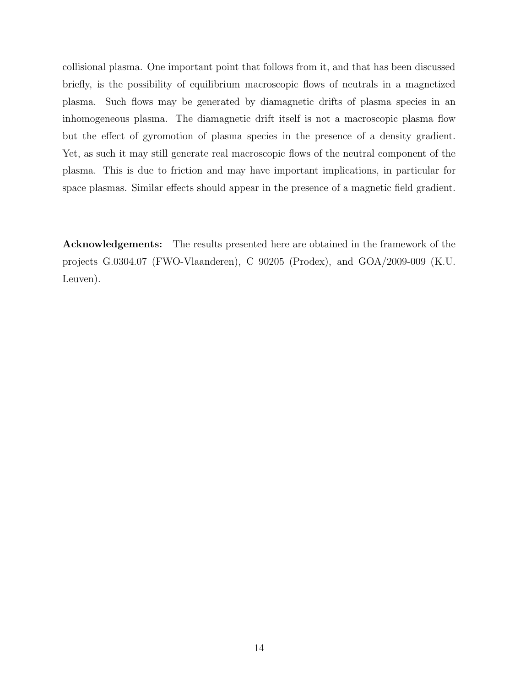collisional plasma. One important point that follows from it, and that has been discussed briefly, is the possibility of equilibrium macroscopic flows of neutrals in a magnetized plasma. Such flows may be generated by diamagnetic drifts of plasma species in an inhomogeneous plasma. The diamagnetic drift itself is not a macroscopic plasma flow but the effect of gyromotion of plasma species in the presence of a density gradient. Yet, as such it may still generate real macroscopic flows of the neutral component of the plasma. This is due to friction and may have important implications, in particular for space plasmas. Similar effects should appear in the presence of a magnetic field gradient.

Acknowledgements: The results presented here are obtained in the framework of the projects G.0304.07 (FWO-Vlaanderen), C 90205 (Prodex), and GOA/2009-009 (K.U. Leuven).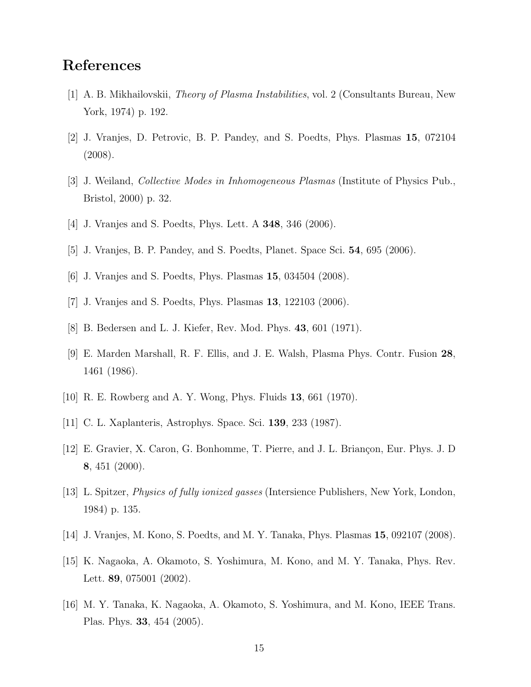# References

- [1] A. B. Mikhailovskii, Theory of Plasma Instabilities, vol. 2 (Consultants Bureau, New York, 1974) p. 192.
- [2] J. Vranjes, D. Petrovic, B. P. Pandey, and S. Poedts, Phys. Plasmas 15, 072104 (2008).
- [3] J. Weiland, Collective Modes in Inhomogeneous Plasmas (Institute of Physics Pub., Bristol, 2000) p. 32.
- [4] J. Vranjes and S. Poedts, Phys. Lett. A 348, 346 (2006).
- [5] J. Vranjes, B. P. Pandey, and S. Poedts, Planet. Space Sci. 54, 695 (2006).
- [6] J. Vranjes and S. Poedts, Phys. Plasmas 15, 034504 (2008).
- [7] J. Vranjes and S. Poedts, Phys. Plasmas 13, 122103 (2006).
- [8] B. Bedersen and L. J. Kiefer, Rev. Mod. Phys. 43, 601 (1971).
- [9] E. Marden Marshall, R. F. Ellis, and J. E. Walsh, Plasma Phys. Contr. Fusion 28, 1461 (1986).
- [10] R. E. Rowberg and A. Y. Wong, Phys. Fluids 13, 661 (1970).
- [11] C. L. Xaplanteris, Astrophys. Space. Sci. 139, 233 (1987).
- [12] E. Gravier, X. Caron, G. Bonhomme, T. Pierre, and J. L. Briançon, Eur. Phys. J. D 8, 451 (2000).
- [13] L. Spitzer, Physics of fully ionized gasses (Intersience Publishers, New York, London, 1984) p. 135.
- [14] J. Vranjes, M. Kono, S. Poedts, and M. Y. Tanaka, Phys. Plasmas 15, 092107 (2008).
- [15] K. Nagaoka, A. Okamoto, S. Yoshimura, M. Kono, and M. Y. Tanaka, Phys. Rev. Lett. 89, 075001 (2002).
- [16] M. Y. Tanaka, K. Nagaoka, A. Okamoto, S. Yoshimura, and M. Kono, IEEE Trans. Plas. Phys. 33, 454 (2005).